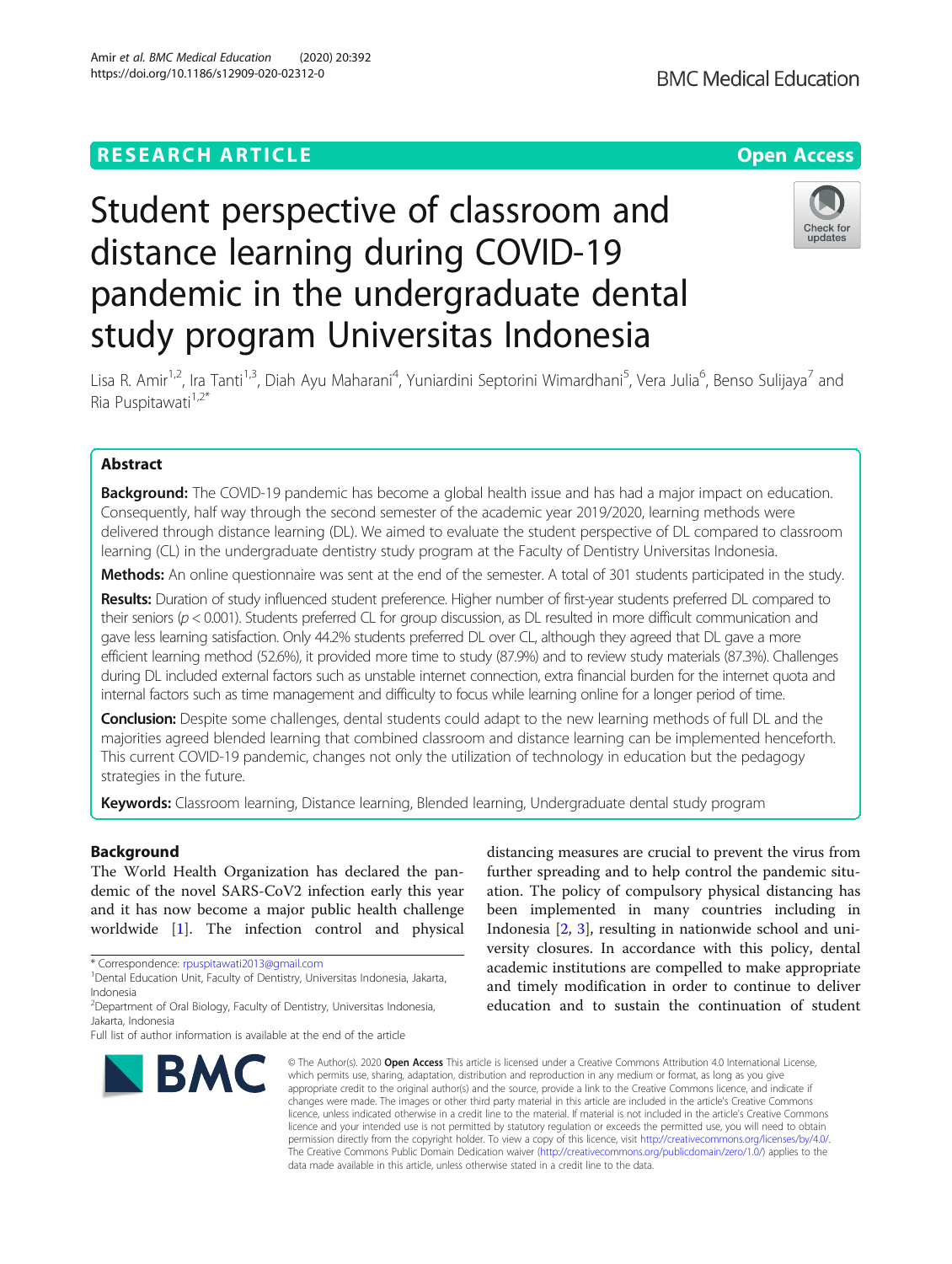# Student perspective of classroom and distance learning during COVID-19 pandemic in the undergraduate dental study program Universitas Indonesia



**BMC Medical Education** 

Lisa R. Amir<sup>1,2</sup>, Ira Tanti<sup>1,3</sup>, Diah Ayu Maharani<sup>4</sup>, Yuniardini Septorini Wimardhani<sup>5</sup>, Vera Julia<sup>6</sup>, Benso Sulijaya<sup>7</sup> and Ria Puspitawati $1,2^*$ 

# Abstract

Background: The COVID-19 pandemic has become a global health issue and has had a major impact on education. Consequently, half way through the second semester of the academic year 2019/2020, learning methods were delivered through distance learning (DL). We aimed to evaluate the student perspective of DL compared to classroom learning (CL) in the undergraduate dentistry study program at the Faculty of Dentistry Universitas Indonesia.

Methods: An online questionnaire was sent at the end of the semester. A total of 301 students participated in the study.

Results: Duration of study influenced student preference. Higher number of first-year students preferred DL compared to their seniors ( $p < 0.001$ ). Students preferred CL for group discussion, as DL resulted in more difficult communication and gave less learning satisfaction. Only 44.2% students preferred DL over CL, although they agreed that DL gave a more efficient learning method (52.6%), it provided more time to study (87.9%) and to review study materials (87.3%). Challenges during DL included external factors such as unstable internet connection, extra financial burden for the internet quota and internal factors such as time management and difficulty to focus while learning online for a longer period of time.

Conclusion: Despite some challenges, dental students could adapt to the new learning methods of full DL and the majorities agreed blended learning that combined classroom and distance learning can be implemented henceforth. This current COVID-19 pandemic, changes not only the utilization of technology in education but the pedagogy strategies in the future.

Keywords: Classroom learning, Distance learning, Blended learning, Undergraduate dental study program

# Background

The World Health Organization has declared the pandemic of the novel SARS-CoV2 infection early this year and it has now become a major public health challenge worldwide [\[1](#page-7-0)]. The infection control and physical

\* Correspondence: [rpuspitawati2013@gmail.com](mailto:rpuspitawati2013@gmail.com) <sup>1</sup>

Full list of author information is available at the end of the article



distancing measures are crucial to prevent the virus from further spreading and to help control the pandemic situation. The policy of compulsory physical distancing has been implemented in many countries including in Indonesia [[2,](#page-7-0) [3](#page-7-0)], resulting in nationwide school and university closures. In accordance with this policy, dental academic institutions are compelled to make appropriate and timely modification in order to continue to deliver education and to sustain the continuation of student

© The Author(s), 2020 **Open Access** This article is licensed under a Creative Commons Attribution 4.0 International License, which permits use, sharing, adaptation, distribution and reproduction in any medium or format, as long as you give appropriate credit to the original author(s) and the source, provide a link to the Creative Commons licence, and indicate if changes were made. The images or other third party material in this article are included in the article's Creative Commons licence, unless indicated otherwise in a credit line to the material. If material is not included in the article's Creative Commons licence and your intended use is not permitted by statutory regulation or exceeds the permitted use, you will need to obtain permission directly from the copyright holder. To view a copy of this licence, visit [http://creativecommons.org/licenses/by/4.0/.](http://creativecommons.org/licenses/by/4.0/) The Creative Commons Public Domain Dedication waiver [\(http://creativecommons.org/publicdomain/zero/1.0/](http://creativecommons.org/publicdomain/zero/1.0/)) applies to the data made available in this article, unless otherwise stated in a credit line to the data.

<sup>&</sup>lt;sup>1</sup> Dental Education Unit, Faculty of Dentistry, Universitas Indonesia, Jakarta, Indonesia

<sup>&</sup>lt;sup>2</sup> Department of Oral Biology, Faculty of Dentistry, Universitas Indonesia, Jakarta, Indonesia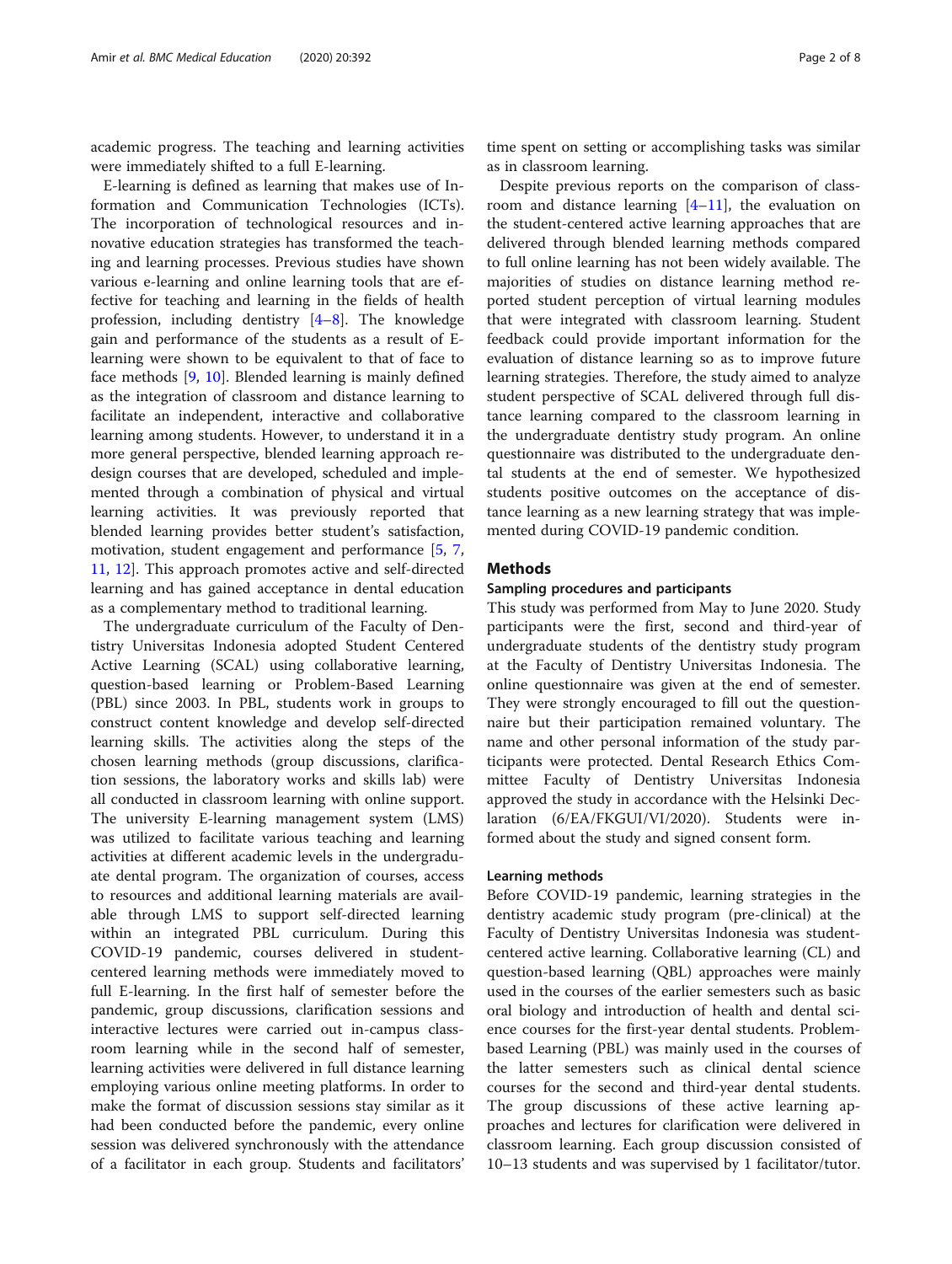academic progress. The teaching and learning activities were immediately shifted to a full E-learning.

E-learning is defined as learning that makes use of Information and Communication Technologies (ICTs). The incorporation of technological resources and innovative education strategies has transformed the teaching and learning processes. Previous studies have shown various e-learning and online learning tools that are effective for teaching and learning in the fields of health profession, including dentistry [[4](#page-7-0)–[8\]](#page-7-0). The knowledge gain and performance of the students as a result of Elearning were shown to be equivalent to that of face to face methods [[9,](#page-7-0) [10](#page-7-0)]. Blended learning is mainly defined as the integration of classroom and distance learning to facilitate an independent, interactive and collaborative learning among students. However, to understand it in a more general perspective, blended learning approach redesign courses that are developed, scheduled and implemented through a combination of physical and virtual learning activities. It was previously reported that blended learning provides better student's satisfaction, motivation, student engagement and performance [\[5](#page-7-0), [7](#page-7-0), [11,](#page-7-0) [12\]](#page-7-0). This approach promotes active and self-directed learning and has gained acceptance in dental education as a complementary method to traditional learning.

The undergraduate curriculum of the Faculty of Dentistry Universitas Indonesia adopted Student Centered Active Learning (SCAL) using collaborative learning, question-based learning or Problem-Based Learning (PBL) since 2003. In PBL, students work in groups to construct content knowledge and develop self-directed learning skills. The activities along the steps of the chosen learning methods (group discussions, clarification sessions, the laboratory works and skills lab) were all conducted in classroom learning with online support. The university E-learning management system (LMS) was utilized to facilitate various teaching and learning activities at different academic levels in the undergraduate dental program. The organization of courses, access to resources and additional learning materials are available through LMS to support self-directed learning within an integrated PBL curriculum. During this COVID-19 pandemic, courses delivered in studentcentered learning methods were immediately moved to full E-learning. In the first half of semester before the pandemic, group discussions, clarification sessions and interactive lectures were carried out in-campus classroom learning while in the second half of semester, learning activities were delivered in full distance learning employing various online meeting platforms. In order to make the format of discussion sessions stay similar as it had been conducted before the pandemic, every online session was delivered synchronously with the attendance of a facilitator in each group. Students and facilitators'

time spent on setting or accomplishing tasks was similar as in classroom learning.

Despite previous reports on the comparison of classroom and distance learning  $[4-11]$  $[4-11]$  $[4-11]$  $[4-11]$ , the evaluation on the student-centered active learning approaches that are delivered through blended learning methods compared to full online learning has not been widely available. The majorities of studies on distance learning method reported student perception of virtual learning modules that were integrated with classroom learning. Student feedback could provide important information for the evaluation of distance learning so as to improve future learning strategies. Therefore, the study aimed to analyze student perspective of SCAL delivered through full distance learning compared to the classroom learning in the undergraduate dentistry study program. An online questionnaire was distributed to the undergraduate dental students at the end of semester. We hypothesized students positive outcomes on the acceptance of distance learning as a new learning strategy that was implemented during COVID-19 pandemic condition.

## Methods

#### Sampling procedures and participants

This study was performed from May to June 2020. Study participants were the first, second and third-year of undergraduate students of the dentistry study program at the Faculty of Dentistry Universitas Indonesia. The online questionnaire was given at the end of semester. They were strongly encouraged to fill out the questionnaire but their participation remained voluntary. The name and other personal information of the study participants were protected. Dental Research Ethics Committee Faculty of Dentistry Universitas Indonesia approved the study in accordance with the Helsinki Declaration (6/EA/FKGUI/VI/2020). Students were informed about the study and signed consent form.

## Learning methods

Before COVID-19 pandemic, learning strategies in the dentistry academic study program (pre-clinical) at the Faculty of Dentistry Universitas Indonesia was studentcentered active learning. Collaborative learning (CL) and question-based learning (QBL) approaches were mainly used in the courses of the earlier semesters such as basic oral biology and introduction of health and dental science courses for the first-year dental students. Problembased Learning (PBL) was mainly used in the courses of the latter semesters such as clinical dental science courses for the second and third-year dental students. The group discussions of these active learning approaches and lectures for clarification were delivered in classroom learning. Each group discussion consisted of 10–13 students and was supervised by 1 facilitator/tutor.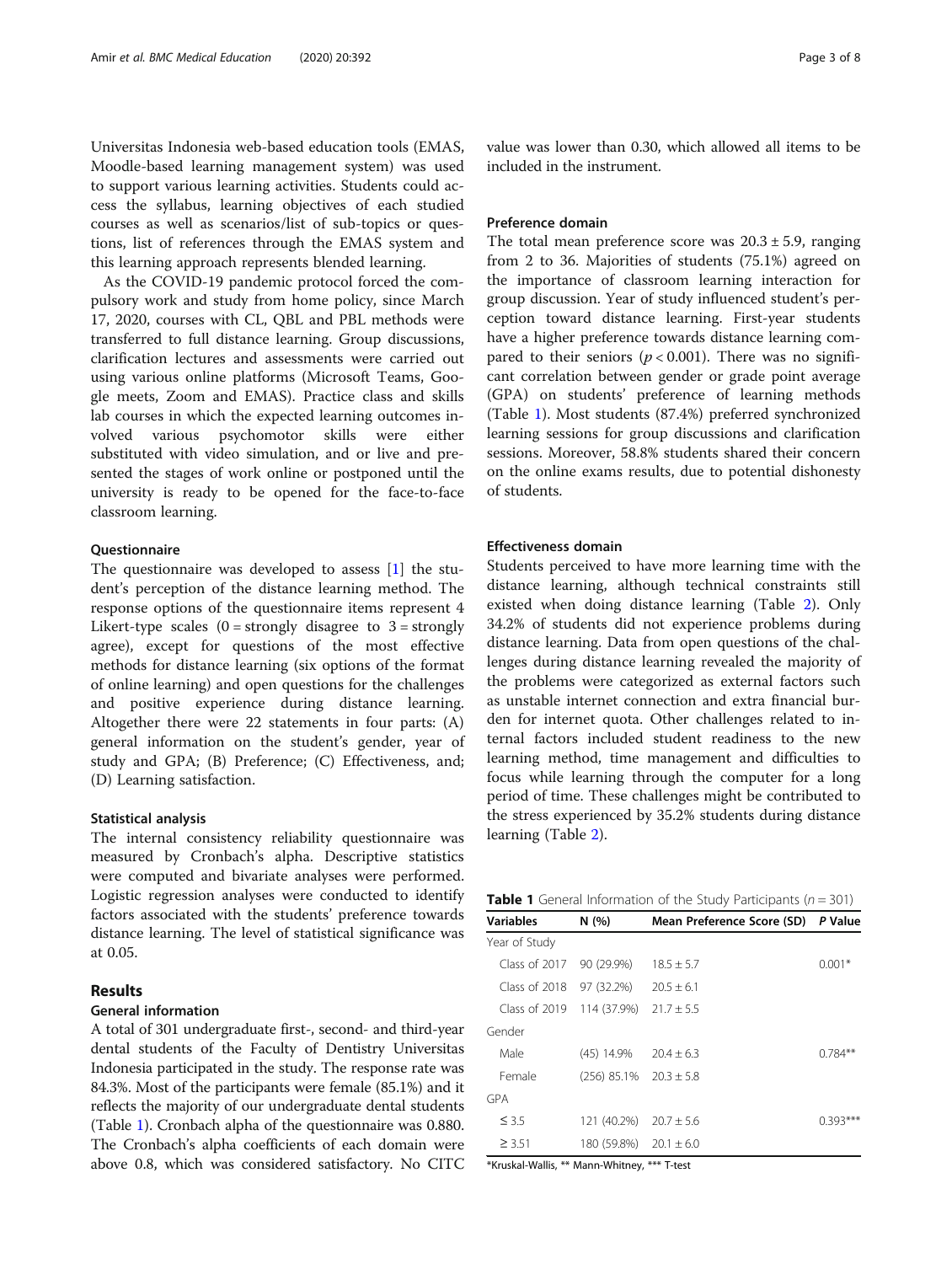Universitas Indonesia web-based education tools (EMAS, Moodle-based learning management system) was used to support various learning activities. Students could access the syllabus, learning objectives of each studied courses as well as scenarios/list of sub-topics or questions, list of references through the EMAS system and this learning approach represents blended learning.

As the COVID-19 pandemic protocol forced the compulsory work and study from home policy, since March 17, 2020, courses with CL, QBL and PBL methods were transferred to full distance learning. Group discussions, clarification lectures and assessments were carried out using various online platforms (Microsoft Teams, Google meets, Zoom and EMAS). Practice class and skills lab courses in which the expected learning outcomes involved various psychomotor skills were either substituted with video simulation, and or live and presented the stages of work online or postponed until the university is ready to be opened for the face-to-face classroom learning.

## **Ouestionnaire**

The questionnaire was developed to assess [\[1](#page-7-0)] the student's perception of the distance learning method. The response options of the questionnaire items represent 4 Likert-type scales  $(0 =$  strongly disagree to  $3 =$  strongly agree), except for questions of the most effective methods for distance learning (six options of the format of online learning) and open questions for the challenges and positive experience during distance learning. Altogether there were 22 statements in four parts: (A) general information on the student's gender, year of study and GPA; (B) Preference; (C) Effectiveness, and; (D) Learning satisfaction.

## Statistical analysis

The internal consistency reliability questionnaire was measured by Cronbach's alpha. Descriptive statistics were computed and bivariate analyses were performed. Logistic regression analyses were conducted to identify factors associated with the students' preference towards distance learning. The level of statistical significance was at 0.05.

## Results

## General information

A total of 301 undergraduate first-, second- and third-year dental students of the Faculty of Dentistry Universitas Indonesia participated in the study. The response rate was 84.3%. Most of the participants were female (85.1%) and it reflects the majority of our undergraduate dental students (Table 1). Cronbach alpha of the questionnaire was 0.880. The Cronbach's alpha coefficients of each domain were above 0.8, which was considered satisfactory. No CITC value was lower than 0.30, which allowed all items to be included in the instrument.

## Preference domain

The total mean preference score was  $20.3 \pm 5.9$ , ranging from 2 to 36. Majorities of students (75.1%) agreed on the importance of classroom learning interaction for group discussion. Year of study influenced student's perception toward distance learning. First-year students have a higher preference towards distance learning compared to their seniors ( $p < 0.001$ ). There was no significant correlation between gender or grade point average (GPA) on students' preference of learning methods (Table 1). Most students (87.4%) preferred synchronized learning sessions for group discussions and clarification sessions. Moreover, 58.8% students shared their concern on the online exams results, due to potential dishonesty of students.

## Effectiveness domain

Students perceived to have more learning time with the distance learning, although technical constraints still existed when doing distance learning (Table [2\)](#page-3-0). Only 34.2% of students did not experience problems during distance learning. Data from open questions of the challenges during distance learning revealed the majority of the problems were categorized as external factors such as unstable internet connection and extra financial burden for internet quota. Other challenges related to internal factors included student readiness to the new learning method, time management and difficulties to focus while learning through the computer for a long period of time. These challenges might be contributed to the stress experienced by 35.2% students during distance learning (Table [2\)](#page-3-0).

| <b>Table 1</b> General Information of the Study Participants ( $n = 301$ ) |  |
|----------------------------------------------------------------------------|--|
|----------------------------------------------------------------------------|--|

| <b>Variables</b> | N(%)                         | Mean Preference Score (SD) P Value |            |
|------------------|------------------------------|------------------------------------|------------|
| Year of Study    |                              |                                    |            |
| Class of $2017$  | 90 (29.9%)                   | $18.5 + 5.7$                       | $0.001*$   |
| Class of 2018    | 97 (32.2%)                   | $20.5 \pm 6.1$                     |            |
| Class of $2019$  | 114 (37.9%)                  | $21.7 + 5.5$                       |            |
| Gender           |                              |                                    |            |
| Male             | $(45)$ 14.9%                 | $20.4 + 6.3$                       | $0.784**$  |
| Female           | $(256)$ 85.1% $20.3 \pm 5.8$ |                                    |            |
| <b>GPA</b>       |                              |                                    |            |
| $\leq$ 3.5       | 121 (40.2%)                  | $20.7 \pm 5.6$                     | $0.393***$ |
| $\geq 3.51$      | 180 (59.8%)                  | $20.1 \pm 6.0$                     |            |

\*Kruskal-Wallis, \*\* Mann-Whitney, \*\*\* T-test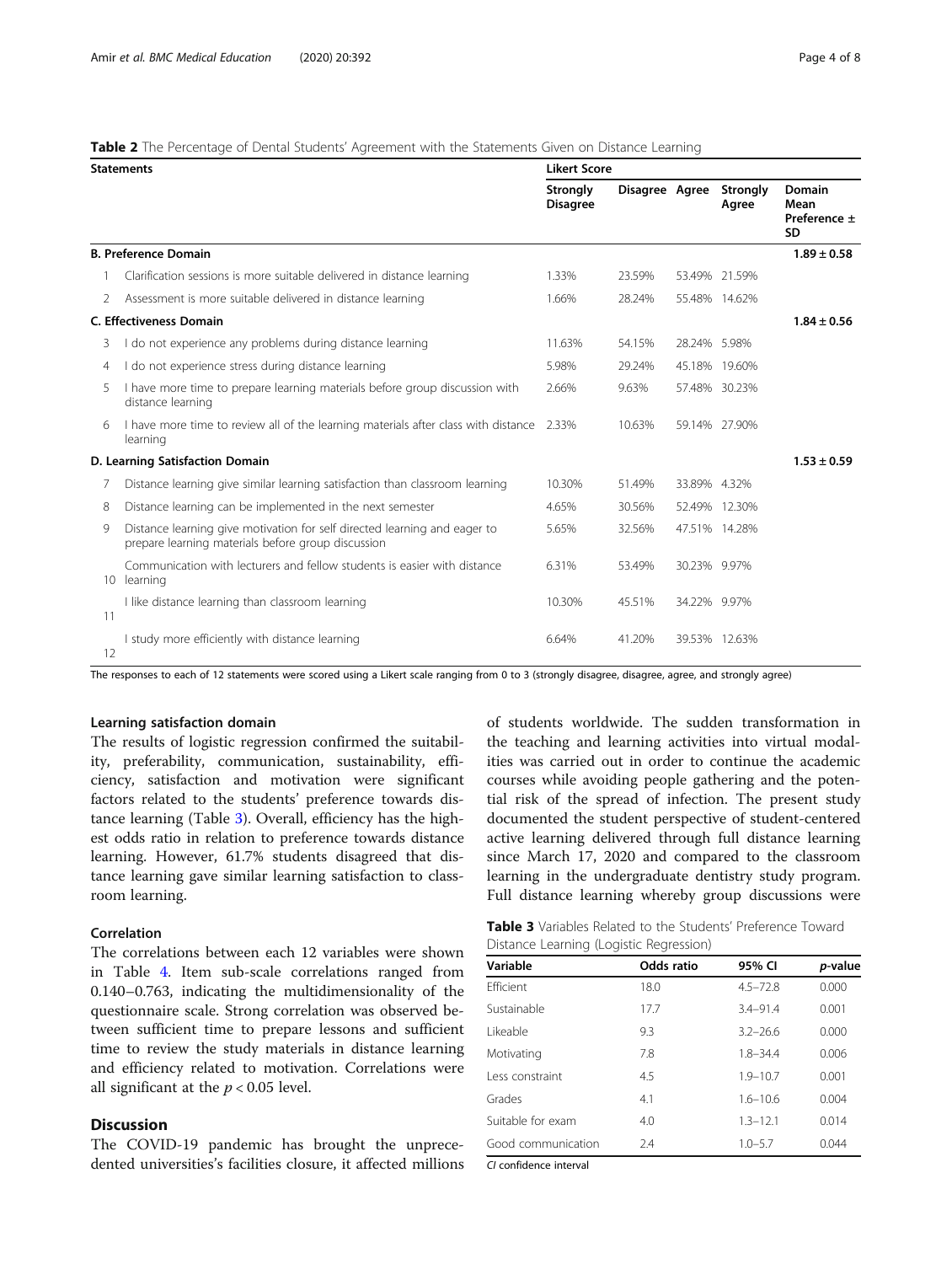## <span id="page-3-0"></span>Table 2 The Percentage of Dental Students' Agreement with the Statements Given on Distance Learning

|    | <b>Statements</b>                                                                                                               | <b>Likert Score</b>                |                |              |                   |                                             |
|----|---------------------------------------------------------------------------------------------------------------------------------|------------------------------------|----------------|--------------|-------------------|---------------------------------------------|
|    |                                                                                                                                 | <b>Strongly</b><br><b>Disagree</b> | Disagree Agree |              | Strongly<br>Agree | Domain<br>Mean<br>Preference ±<br><b>SD</b> |
|    | <b>B. Preference Domain</b>                                                                                                     |                                    |                |              |                   | $1.89 \pm 0.58$                             |
|    | Clarification sessions is more suitable delivered in distance learning                                                          | 1.33%                              | 23.59%         |              | 53.49% 21.59%     |                                             |
| 2  | Assessment is more suitable delivered in distance learning                                                                      | 1.66%                              | 28.24%         |              | 55.48% 14.62%     |                                             |
|    | <b>C. Effectiveness Domain</b>                                                                                                  |                                    |                |              |                   | $1.84 \pm 0.56$                             |
| 3  | I do not experience any problems during distance learning                                                                       | 11.63%                             | 54.15%         | 28.24% 5.98% |                   |                                             |
| 4  | I do not experience stress during distance learning                                                                             | 5.98%                              | 29.24%         |              | 45.18% 19.60%     |                                             |
| 5  | I have more time to prepare learning materials before group discussion with<br>distance learning                                | 2.66%                              | 9.63%          |              | 57.48% 30.23%     |                                             |
| 6  | I have more time to review all of the learning materials after class with distance 2.33%<br>learning                            |                                    | 10.63%         |              | 59.14% 27.90%     |                                             |
|    | D. Learning Satisfaction Domain                                                                                                 |                                    |                |              |                   | $1.53 \pm 0.59$                             |
| 7  | Distance learning give similar learning satisfaction than classroom learning                                                    | 10.30%                             | 51.49%         | 33.89% 4.32% |                   |                                             |
| 8  | Distance learning can be implemented in the next semester                                                                       | 4.65%                              | 30.56%         |              | 52.49% 12.30%     |                                             |
| 9  | Distance learning give motivation for self directed learning and eager to<br>prepare learning materials before group discussion | 5.65%                              | 32.56%         |              | 47.51% 14.28%     |                                             |
| 10 | Communication with lecturers and fellow students is easier with distance<br>learning                                            | 6.31%                              | 53.49%         | 30.23% 9.97% |                   |                                             |
| 11 | I like distance learning than classroom learning                                                                                | 10.30%                             | 45.51%         | 34.22% 9.97% |                   |                                             |
| 12 | I study more efficiently with distance learning                                                                                 | 6.64%                              | 41.20%         |              | 39.53% 12.63%     |                                             |

The responses to each of 12 statements were scored using a Likert scale ranging from 0 to 3 (strongly disagree, disagree, agree, and strongly agree)

## Learning satisfaction domain

The results of logistic regression confirmed the suitability, preferability, communication, sustainability, efficiency, satisfaction and motivation were significant factors related to the students' preference towards distance learning (Table 3). Overall, efficiency has the highest odds ratio in relation to preference towards distance learning. However, 61.7% students disagreed that distance learning gave similar learning satisfaction to classroom learning.

## Correlation

The correlations between each 12 variables were shown in Table [4](#page-4-0). Item sub-scale correlations ranged from 0.140–0.763, indicating the multidimensionality of the questionnaire scale. Strong correlation was observed between sufficient time to prepare lessons and sufficient time to review the study materials in distance learning and efficiency related to motivation. Correlations were all significant at the  $p < 0.05$  level.

## **Discussion**

The COVID-19 pandemic has brought the unprecedented universities's facilities closure, it affected millions of students worldwide. The sudden transformation in the teaching and learning activities into virtual modalities was carried out in order to continue the academic courses while avoiding people gathering and the potential risk of the spread of infection. The present study documented the student perspective of student-centered active learning delivered through full distance learning since March 17, 2020 and compared to the classroom learning in the undergraduate dentistry study program. Full distance learning whereby group discussions were

Table 3 Variables Related to the Students' Preference Toward Distance Learning (Logistic Regression)

| Variable           | Odds ratio | 95% CI       | p-value |
|--------------------|------------|--------------|---------|
| Ffficient          | 18.0       | $4.5 - 72.8$ | 0.000   |
| Sustainable        | 17.7       | $3.4 - 91.4$ | 0.001   |
| Likeable           | 9.3        | $3.2 - 26.6$ | 0.000   |
| Motivating         | 7.8        | $1.8 - 34.4$ | 0.006   |
| Less constraint    | 4.5        | $1.9 - 10.7$ | 0.001   |
| Grades             | 4.1        | $1.6 - 10.6$ | 0.004   |
| Suitable for exam  | 4.0        | $1.3 - 12.1$ | 0.014   |
| Good communication | 7.4        | $1.0 - 5.7$  | 0.044   |

CI confidence interval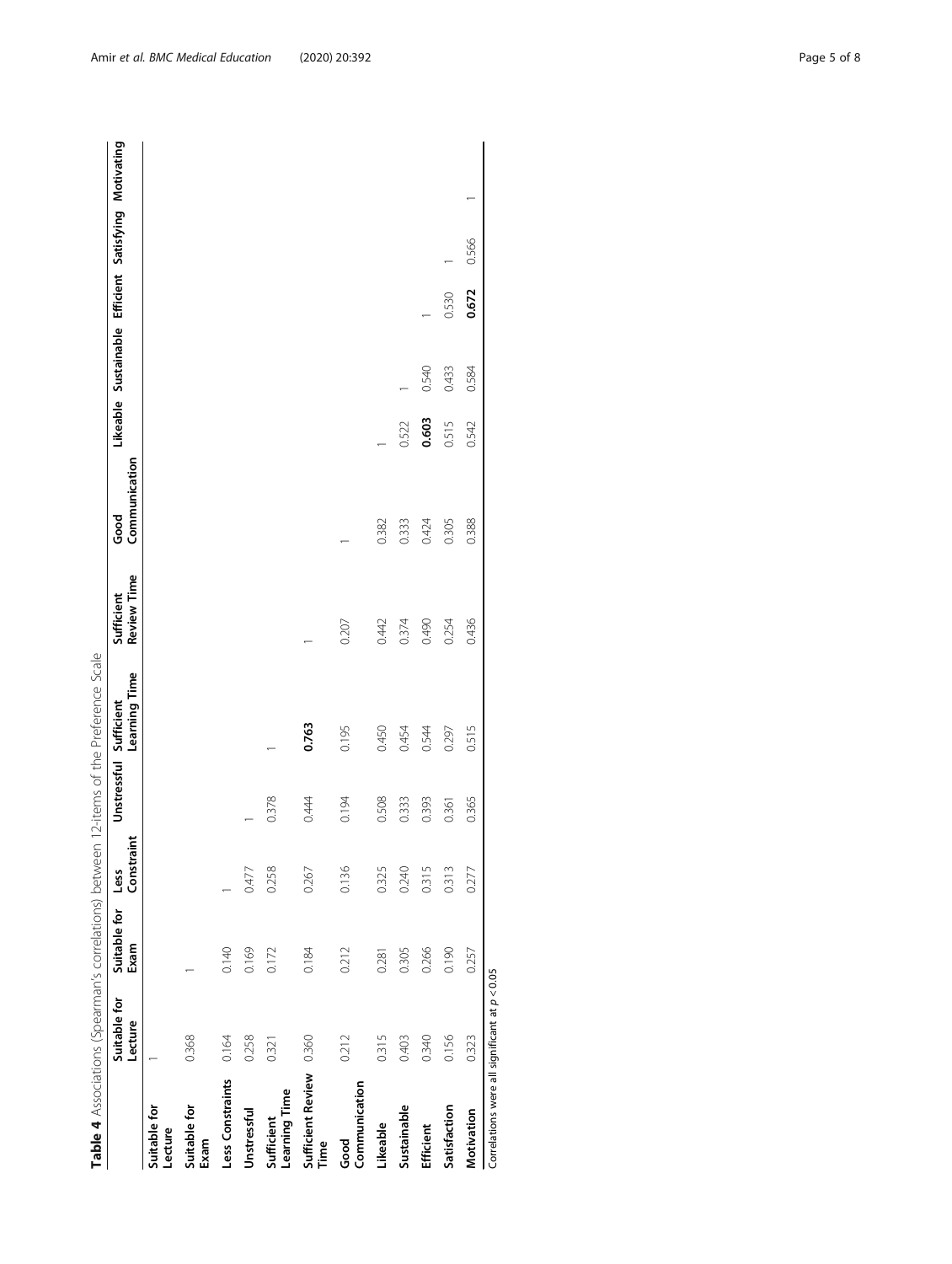<span id="page-4-0"></span>

|                                                 |                         |                      |                    |                        | Table 4 Associations (Spearman's correlations) between 12-items of the Preference Scale |                           |                       |       |                                                      |       |       |  |
|-------------------------------------------------|-------------------------|----------------------|--------------------|------------------------|-----------------------------------------------------------------------------------------|---------------------------|-----------------------|-------|------------------------------------------------------|-------|-------|--|
|                                                 | Suitable for<br>Lecture | Suitable for<br>Exam | Constraint<br>Less | Unstressful Sufficient | Learning Time                                                                           | Review Time<br>Sufficient | Communication<br>Good |       | Likeable Sustainable Efficient Satisfying Motivating |       |       |  |
| Suitable for<br>Lecture                         |                         |                      |                    |                        |                                                                                         |                           |                       |       |                                                      |       |       |  |
| Suitable for<br>Exam                            | 0.368                   |                      |                    |                        |                                                                                         |                           |                       |       |                                                      |       |       |  |
| Less Constraints                                | 0.164                   | 0.140                |                    |                        |                                                                                         |                           |                       |       |                                                      |       |       |  |
| Unstressful                                     | 0.258                   | 0.169                | 0.477              |                        |                                                                                         |                           |                       |       |                                                      |       |       |  |
| Learning Time<br>Sufficient                     | 0.321                   | 0.172                | 0.258              | 0.378                  |                                                                                         |                           |                       |       |                                                      |       |       |  |
| Sufficient Review<br>Time                       | 0.360                   | 0.184                | 0.267              | 0.444                  | 0.763                                                                                   |                           |                       |       |                                                      |       |       |  |
| Communication<br>Good                           | 0.212                   | 0.212                | 0.136              | 0.194                  | 0.195                                                                                   | 0.207                     |                       |       |                                                      |       |       |  |
| Likeable                                        | 0.315                   | 0.281                | 0.325              | 0.508                  | 0.450                                                                                   | 0.442                     | 0.382                 |       |                                                      |       |       |  |
| Sustainable                                     | 0.403                   | 0.305                | 0.240              | 0.333                  | 0.454                                                                                   | 0.374                     | 0.333                 | 0.522 |                                                      |       |       |  |
| Efficient                                       | 0.340                   | 0.266                | 0.315              | 0.393                  | 0.544                                                                                   | 0.490                     | 0.424                 | 0.603 | 0.540                                                |       |       |  |
| Satisfaction                                    | 0.156                   | 0.190                | 0.313              | 0.361                  | 0.297                                                                                   | 0.254                     | 0.305                 | 0.515 | 0.433                                                | 0.530 |       |  |
| Motivation                                      | 0.323                   | 0.257                | 0.277              | 0.365                  | 0.515                                                                                   | 0.436                     | 0.388                 | 0.542 | 0.584                                                | 0.672 | 0.566 |  |
| Correlations were all significant at $p < 0.05$ |                         |                      |                    |                        |                                                                                         |                           |                       |       |                                                      |       |       |  |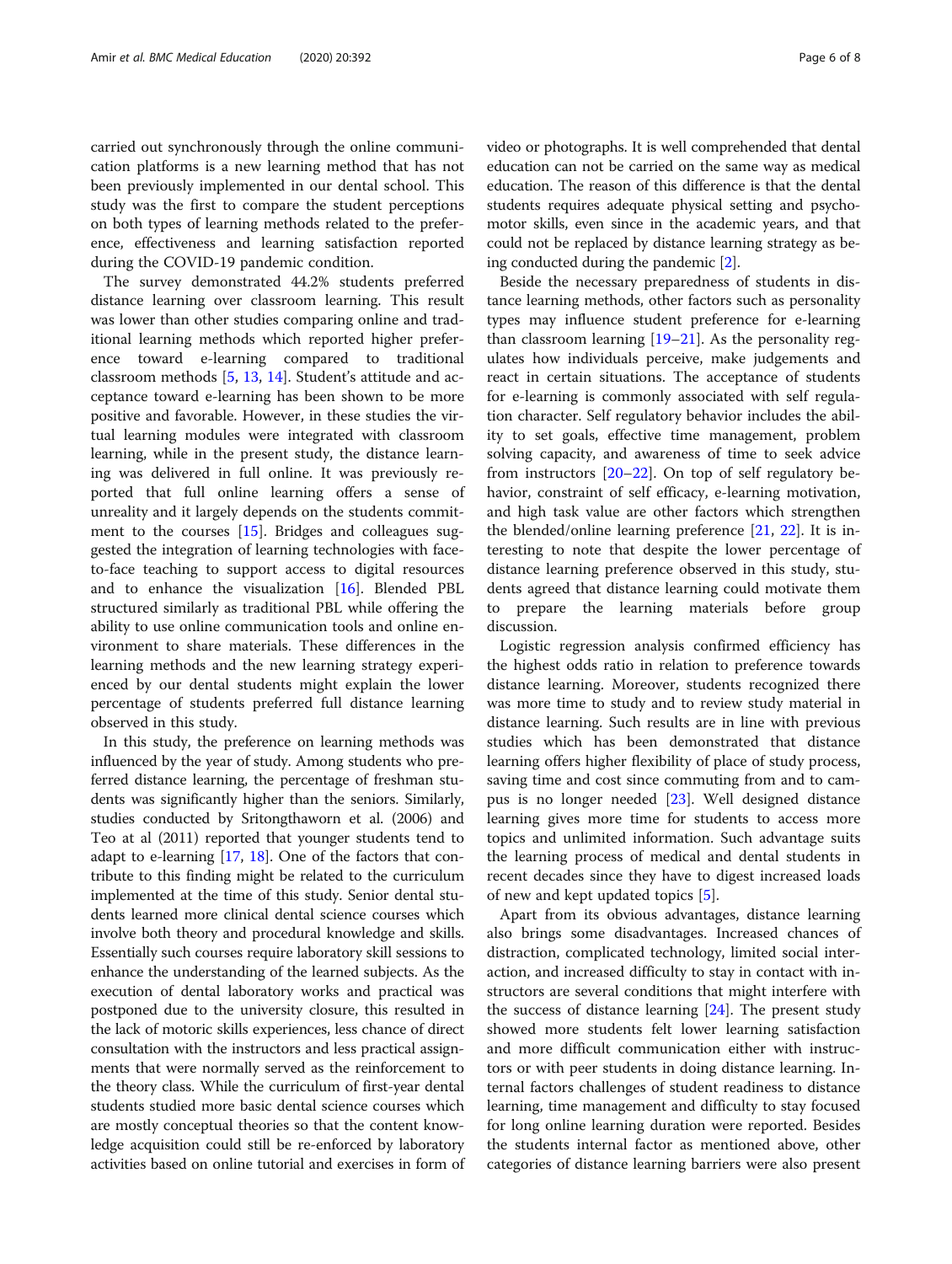carried out synchronously through the online communication platforms is a new learning method that has not been previously implemented in our dental school. This study was the first to compare the student perceptions on both types of learning methods related to the preference, effectiveness and learning satisfaction reported during the COVID-19 pandemic condition.

The survey demonstrated 44.2% students preferred distance learning over classroom learning. This result was lower than other studies comparing online and traditional learning methods which reported higher preference toward e-learning compared to traditional classroom methods [\[5](#page-7-0), [13,](#page-7-0) [14\]](#page-7-0). Student's attitude and acceptance toward e-learning has been shown to be more positive and favorable. However, in these studies the virtual learning modules were integrated with classroom learning, while in the present study, the distance learning was delivered in full online. It was previously reported that full online learning offers a sense of unreality and it largely depends on the students commitment to the courses [[15\]](#page-7-0). Bridges and colleagues suggested the integration of learning technologies with faceto-face teaching to support access to digital resources and to enhance the visualization [[16](#page-7-0)]. Blended PBL structured similarly as traditional PBL while offering the ability to use online communication tools and online environment to share materials. These differences in the learning methods and the new learning strategy experienced by our dental students might explain the lower percentage of students preferred full distance learning observed in this study.

In this study, the preference on learning methods was influenced by the year of study. Among students who preferred distance learning, the percentage of freshman students was significantly higher than the seniors. Similarly, studies conducted by Sritongthaworn et al. (2006) and Teo at al (2011) reported that younger students tend to adapt to e-learning [[17](#page-7-0), [18\]](#page-7-0). One of the factors that contribute to this finding might be related to the curriculum implemented at the time of this study. Senior dental students learned more clinical dental science courses which involve both theory and procedural knowledge and skills. Essentially such courses require laboratory skill sessions to enhance the understanding of the learned subjects. As the execution of dental laboratory works and practical was postponed due to the university closure, this resulted in the lack of motoric skills experiences, less chance of direct consultation with the instructors and less practical assignments that were normally served as the reinforcement to the theory class. While the curriculum of first-year dental students studied more basic dental science courses which are mostly conceptual theories so that the content knowledge acquisition could still be re-enforced by laboratory activities based on online tutorial and exercises in form of video or photographs. It is well comprehended that dental education can not be carried on the same way as medical education. The reason of this difference is that the dental students requires adequate physical setting and psychomotor skills, even since in the academic years, and that could not be replaced by distance learning strategy as being conducted during the pandemic [\[2](#page-7-0)].

Beside the necessary preparedness of students in distance learning methods, other factors such as personality types may influence student preference for e-learning than classroom learning [\[19](#page-7-0)–[21\]](#page-7-0). As the personality regulates how individuals perceive, make judgements and react in certain situations. The acceptance of students for e-learning is commonly associated with self regulation character. Self regulatory behavior includes the ability to set goals, effective time management, problem solving capacity, and awareness of time to seek advice from instructors  $[20-22]$  $[20-22]$  $[20-22]$ . On top of self regulatory behavior, constraint of self efficacy, e-learning motivation, and high task value are other factors which strengthen the blended/online learning preference  $[21, 22]$  $[21, 22]$  $[21, 22]$  $[21, 22]$  $[21, 22]$ . It is interesting to note that despite the lower percentage of distance learning preference observed in this study, students agreed that distance learning could motivate them to prepare the learning materials before group discussion.

Logistic regression analysis confirmed efficiency has the highest odds ratio in relation to preference towards distance learning. Moreover, students recognized there was more time to study and to review study material in distance learning. Such results are in line with previous studies which has been demonstrated that distance learning offers higher flexibility of place of study process, saving time and cost since commuting from and to campus is no longer needed [[23](#page-7-0)]. Well designed distance learning gives more time for students to access more topics and unlimited information. Such advantage suits the learning process of medical and dental students in recent decades since they have to digest increased loads of new and kept updated topics [\[5\]](#page-7-0).

Apart from its obvious advantages, distance learning also brings some disadvantages. Increased chances of distraction, complicated technology, limited social interaction, and increased difficulty to stay in contact with instructors are several conditions that might interfere with the success of distance learning [[24\]](#page-7-0). The present study showed more students felt lower learning satisfaction and more difficult communication either with instructors or with peer students in doing distance learning. Internal factors challenges of student readiness to distance learning, time management and difficulty to stay focused for long online learning duration were reported. Besides the students internal factor as mentioned above, other categories of distance learning barriers were also present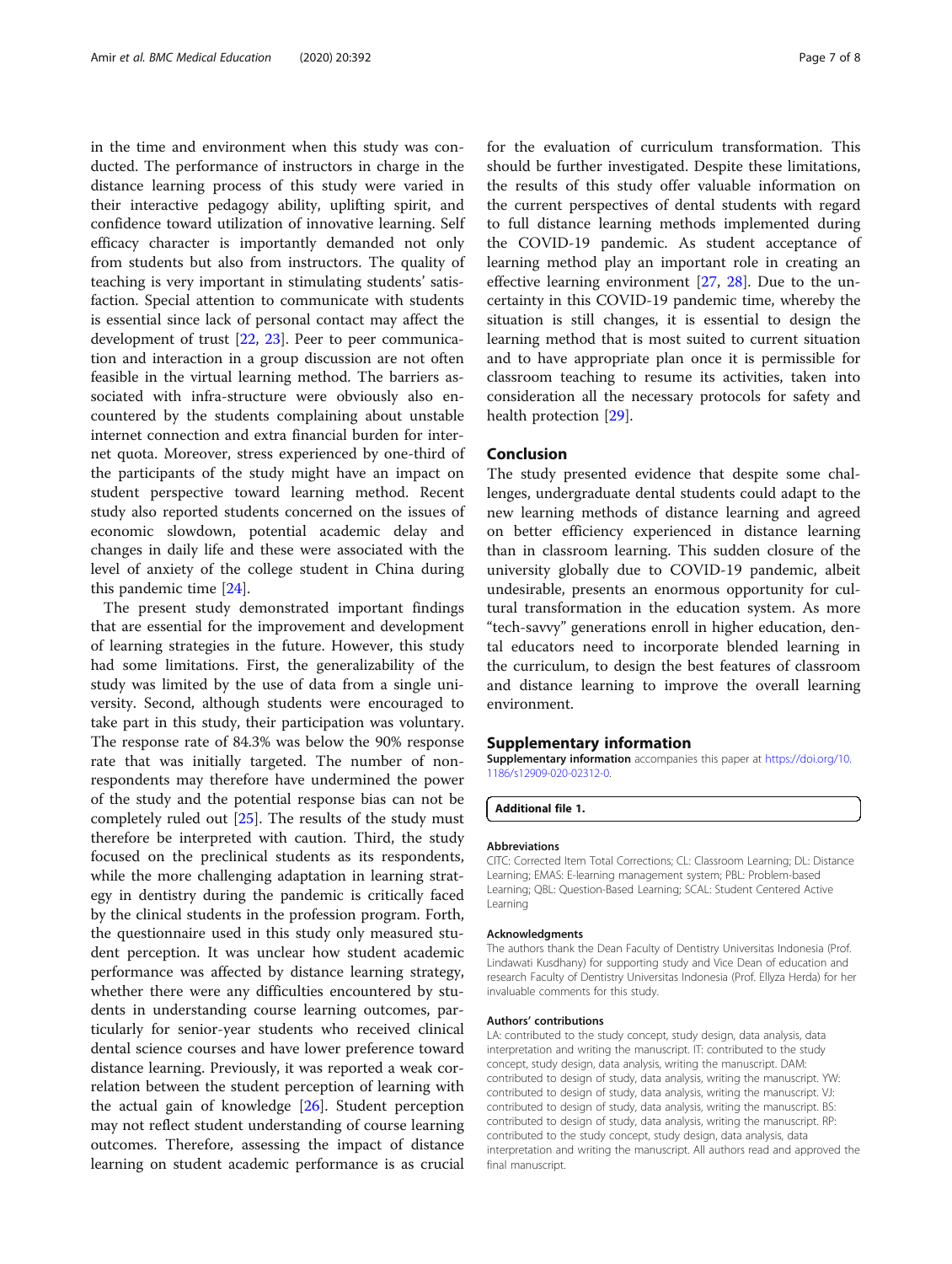in the time and environment when this study was conducted. The performance of instructors in charge in the distance learning process of this study were varied in their interactive pedagogy ability, uplifting spirit, and confidence toward utilization of innovative learning. Self efficacy character is importantly demanded not only from students but also from instructors. The quality of teaching is very important in stimulating students' satisfaction. Special attention to communicate with students is essential since lack of personal contact may affect the development of trust [\[22,](#page-7-0) [23\]](#page-7-0). Peer to peer communication and interaction in a group discussion are not often feasible in the virtual learning method. The barriers associated with infra-structure were obviously also encountered by the students complaining about unstable internet connection and extra financial burden for internet quota. Moreover, stress experienced by one-third of the participants of the study might have an impact on student perspective toward learning method. Recent study also reported students concerned on the issues of economic slowdown, potential academic delay and changes in daily life and these were associated with the level of anxiety of the college student in China during this pandemic time [[24](#page-7-0)].

The present study demonstrated important findings that are essential for the improvement and development of learning strategies in the future. However, this study had some limitations. First, the generalizability of the study was limited by the use of data from a single university. Second, although students were encouraged to take part in this study, their participation was voluntary. The response rate of 84.3% was below the 90% response rate that was initially targeted. The number of nonrespondents may therefore have undermined the power of the study and the potential response bias can not be completely ruled out [\[25\]](#page-7-0). The results of the study must therefore be interpreted with caution. Third, the study focused on the preclinical students as its respondents, while the more challenging adaptation in learning strategy in dentistry during the pandemic is critically faced by the clinical students in the profession program. Forth, the questionnaire used in this study only measured student perception. It was unclear how student academic performance was affected by distance learning strategy, whether there were any difficulties encountered by students in understanding course learning outcomes, particularly for senior-year students who received clinical dental science courses and have lower preference toward distance learning. Previously, it was reported a weak correlation between the student perception of learning with the actual gain of knowledge [\[26](#page-7-0)]. Student perception may not reflect student understanding of course learning outcomes. Therefore, assessing the impact of distance learning on student academic performance is as crucial

for the evaluation of curriculum transformation. This should be further investigated. Despite these limitations, the results of this study offer valuable information on the current perspectives of dental students with regard to full distance learning methods implemented during the COVID-19 pandemic. As student acceptance of learning method play an important role in creating an effective learning environment [[27,](#page-7-0) [28\]](#page-7-0). Due to the uncertainty in this COVID-19 pandemic time, whereby the situation is still changes, it is essential to design the learning method that is most suited to current situation and to have appropriate plan once it is permissible for classroom teaching to resume its activities, taken into consideration all the necessary protocols for safety and health protection [\[29\]](#page-7-0).

## Conclusion

The study presented evidence that despite some challenges, undergraduate dental students could adapt to the new learning methods of distance learning and agreed on better efficiency experienced in distance learning than in classroom learning. This sudden closure of the university globally due to COVID-19 pandemic, albeit undesirable, presents an enormous opportunity for cultural transformation in the education system. As more "tech-savvy" generations enroll in higher education, dental educators need to incorporate blended learning in the curriculum, to design the best features of classroom and distance learning to improve the overall learning environment.

#### Supplementary information

Supplementary information accompanies this paper at [https://doi.org/10.](https://doi.org/10.1186/s12909-020-02312-0) [1186/s12909-020-02312-0](https://doi.org/10.1186/s12909-020-02312-0).

Additional file 1.

#### Abbreviations

CITC: Corrected Item Total Corrections; CL: Classroom Learning; DL: Distance Learning; EMAS: E-learning management system; PBL: Problem-based Learning; QBL: Question-Based Learning; SCAL: Student Centered Active Learning

#### Acknowledgments

The authors thank the Dean Faculty of Dentistry Universitas Indonesia (Prof. Lindawati Kusdhany) for supporting study and Vice Dean of education and research Faculty of Dentistry Universitas Indonesia (Prof. Ellyza Herda) for her invaluable comments for this study.

#### Authors' contributions

LA: contributed to the study concept, study design, data analysis, data interpretation and writing the manuscript. IT: contributed to the study concept, study design, data analysis, writing the manuscript. DAM: contributed to design of study, data analysis, writing the manuscript. YW: contributed to design of study, data analysis, writing the manuscript. VJ: contributed to design of study, data analysis, writing the manuscript. BS: contributed to design of study, data analysis, writing the manuscript. RP: contributed to the study concept, study design, data analysis, data interpretation and writing the manuscript. All authors read and approved the final manuscript.